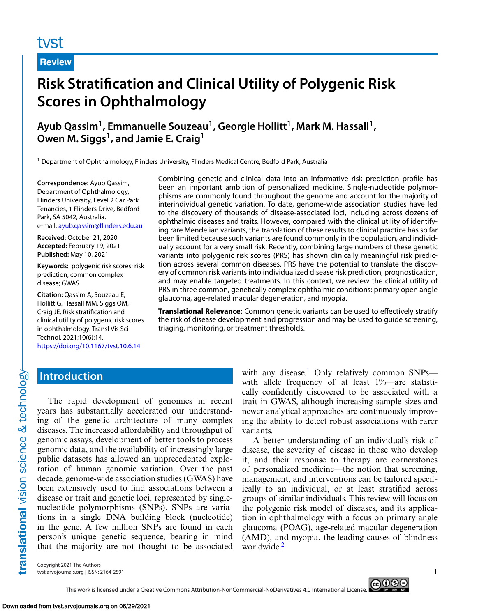# tyst

**Review**

# **Risk Stratification and Clinical Utility of Polygenic Risk Scores in Ophthalmology**

Ayub Qassim<sup>1</sup>, Emmanuelle Souzeau<sup>1</sup>, Georgie Hollitt<sup>1</sup>, Mark M. Hassall<sup>1</sup>, Owen M. Siggs<sup>1</sup>, and Jamie E. Craig<sup>1</sup>

<sup>1</sup> Department of Ophthalmology, Flinders University, Flinders Medical Centre, Bedford Park, Australia

**Correspondence:** Ayub Qassim, Department of Ophthalmology, Flinders University, Level 2 Car Park Tenancies, 1 Flinders Drive, Bedford Park, SA 5042, Australia. e-mail: [ayub.qassim@flinders.edu.au](mailto:ayub.qassim@flinders.edu.au)

**Received:** October 21, 2020 **Accepted:** February 19, 2021 **Published:** May 10, 2021

**Keywords:** polygenic risk scores; risk prediction; common complex disease; GWAS

**Citation:** Qassim A, Souzeau E, Hollitt G, Hassall MM, Siggs OM, Craig JE. Risk stratification and clinical utility of polygenic risk scores in ophthalmology. Transl Vis Sci Technol. 2021;10(6):14, <https://doi.org/10.1167/tvst.10.6.14>

Combining genetic and clinical data into an informative risk prediction profile has been an important ambition of personalized medicine. Single-nucleotide polymorphisms are commonly found throughout the genome and account for the majority of interindividual genetic variation. To date, genome-wide association studies have led to the discovery of thousands of disease-associated loci, including across dozens of ophthalmic diseases and traits. However, compared with the clinical utility of identifying rare Mendelian variants, the translation of these results to clinical practice has so far been limited because such variants are found commonly in the population, and individually account for a very small risk. Recently, combining large numbers of these genetic variants into polygenic risk scores (PRS) has shown clinically meaningful risk prediction across several common diseases. PRS have the potential to translate the discovery of common risk variants into individualized disease risk prediction, prognostication, and may enable targeted treatments. In this context, we review the clinical utility of PRS in three common, genetically complex ophthalmic conditions: primary open angle glaucoma, age-related macular degeneration, and myopia.

**Translational Relevance:** Common genetic variants can be used to effectively stratify the risk of disease development and progression and may be used to guide screening, triaging, monitoring, or treatment thresholds.

## **Introduction**

The rapid development of genomics in recent years has substantially accelerated our understanding of the genetic architecture of many complex diseases. The increased affordability and throughput of genomic assays, development of better tools to process genomic data, and the availability of increasingly large public datasets has allowed an unprecedented exploration of human genomic variation. Over the past decade, genome-wide association studies (GWAS) have been extensively used to find associations between a disease or trait and genetic loci, represented by singlenucleotide polymorphisms (SNPs). SNPs are variations in a single DNA building block (nucleotide) in the gene. A few million SNPs are found in each person's unique genetic sequence, bearing in mind that the majority are not thought to be associated

with any disease.<sup>[1](#page-9-0)</sup> Only relatively common SNPs with allele frequency of at least 1%—are statistically confidently discovered to be associated with a trait in GWAS, although increasing sample sizes and newer analytical approaches are continuously improving the ability to detect robust associations with rarer variants.

A better understanding of an individual's risk of disease, the severity of disease in those who develop it, and their response to therapy are cornerstones of personalized medicine—the notion that screening, management, and interventions can be tailored specifically to an individual, or at least stratified across groups of similar individuals. This review will focus on the polygenic risk model of diseases, and its application in ophthalmology with a focus on primary angle glaucoma (POAG), age-related macular degeneration (AMD), and myopia, the leading causes of blindness worldwide.<sup>2</sup>

Copyright 2021 The Authors tvst.arvojournals.org | ISSN: 2164-2591 1

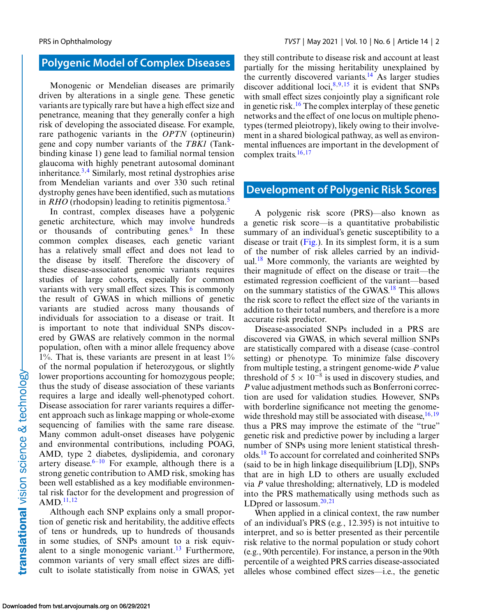#### **Polygenic Model of Complex Diseases**

Monogenic or Mendelian diseases are primarily driven by alterations in a single gene. These genetic variants are typically rare but have a high effect size and penetrance, meaning that they generally confer a high risk of developing the associated disease. For example, rare pathogenic variants in the *OPTN* (optineurin) gene and copy number variants of the *TBK1* (Tankbinding kinase 1) gene lead to familial normal tension glaucoma with highly penetrant autosomal dominant inheritance[.3,4](#page-9-0) Similarly, most retinal dystrophies arise from Mendelian variants and over 330 such retinal dystrophy genes have been identified, such as mutations in *RHO* (rhodopsin) leading to retinitis pigmentosa.<sup>[5](#page-9-0)</sup>

In contrast, complex diseases have a polygenic genetic architecture, which may involve hundreds or thousands of contributing genes. $6$  In these common complex diseases, each genetic variant has a relatively small effect and does not lead to the disease by itself. Therefore the discovery of these disease-associated genomic variants requires studies of large cohorts, especially for common variants with very small effect sizes. This is commonly the result of GWAS in which millions of genetic variants are studied across many thousands of individuals for association to a disease or trait. It is important to note that individual SNPs discovered by GWAS are relatively common in the normal population, often with a minor allele frequency above  $1\%$ . That is, these variants are present in at least  $1\%$ of the normal population if heterozygous, or slightly lower proportions accounting for homozygous people; thus the study of disease association of these variants requires a large and ideally well-phenotyped cohort. Disease association for rarer variants requires a different approach such as linkage mapping or whole-exome sequencing of families with the same rare disease. Many common adult-onset diseases have polygenic and environmental contributions, including POAG, AMD, type 2 diabetes, dyslipidemia, and coronary artery disease. $6-10$  For example, although there is a strong genetic contribution to AMD risk, smoking has been well established as a key modifiable environmental risk factor for the development and progression of AMD.<sup>[11,12](#page-9-0)</sup>

Although each SNP explains only a small proportion of genetic risk and heritability, the additive effects of tens or hundreds, up to hundreds of thousands in some studies, of SNPs amount to a risk equivalent to a single monogenic variant.<sup>13</sup> Furthermore, common variants of very small effect sizes are difficult to isolate statistically from noise in GWAS, yet they still contribute to disease risk and account at least partially for the missing heritability unexplained by the currently discovered variants.<sup>14</sup> As larger studies discover additional loci,  $8,9,15$  it is evident that SNPs with small effect sizes conjointly play a significant role in genetic risk.<sup>[16](#page-9-0)</sup> The complex interplay of these genetic networks and the effect of one locus on multiple phenotypes (termed pleiotropy), likely owing to their involvement in a shared biological pathway, as well as environmental influences are important in the development of complex traits. $16,17$ 

#### **Development of Polygenic Risk Scores**

A polygenic risk score (PRS)—also known as a genetic risk score—is a quantitative probabilistic summary of an individual's genetic susceptibility to a disease or trait [\(Fig.\)](#page-2-0). In its simplest form, it is a sum of the number of risk alleles carried by an individ-ual.<sup>[18](#page-9-0)</sup> More commonly, the variants are weighted by their magnitude of effect on the disease or trait—the estimated regression coefficient of the variant—based on the summary statistics of the GWAS[.18](#page-9-0) This allows the risk score to reflect the effect size of the variants in addition to their total numbers, and therefore is a more accurate risk predictor.

Disease-associated SNPs included in a PRS are discovered via GWAS, in which several million SNPs are statistically compared with a disease (case–control setting) or phenotype. To minimize false discovery from multiple testing, a stringent genome-wide *P* value threshold of  $5 \times 10^{-8}$  is used in discovery studies, and *P* value adjustment methods such as Bonferroni correction are used for validation studies. However, SNPs with borderline significance not meeting the genomewide threshold may still be associated with disease,  $16,19$ thus a PRS may improve the estimate of the "true" genetic risk and predictive power by including a larger number of SNPs using more lenient statistical thresholds.[18](#page-9-0) To account for correlated and coinherited SNPs (said to be in high linkage disequilibrium [LD]), SNPs that are in high LD to others are usually excluded via *P* value thresholding; alternatively, LD is modeled into the PRS mathematically using methods such as LDpred or lassosum. $20,21$ 

When applied in a clinical context, the raw number of an individual's PRS (e.g*.*, 12.395) is not intuitive to interpret, and so is better presented as their percentile risk relative to the normal population or study cohort (e.g., 90th percentile). For instance, a person in the 90th percentile of a weighted PRS carries disease-associated alleles whose combined effect sizes—i.e., the genetic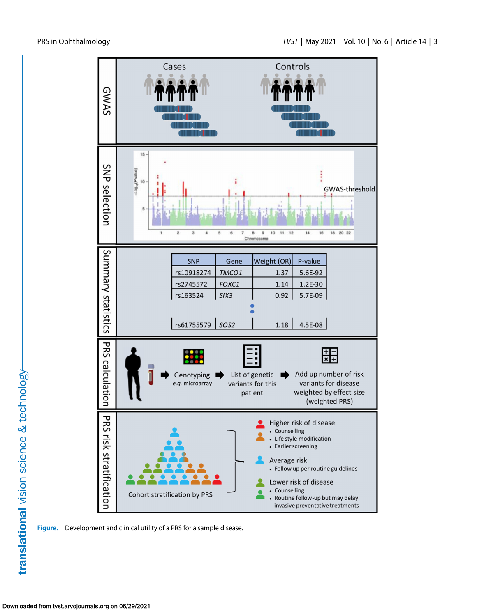<span id="page-2-0"></span>

**Figure.** Development and clinical utility of a PRS for a sample disease.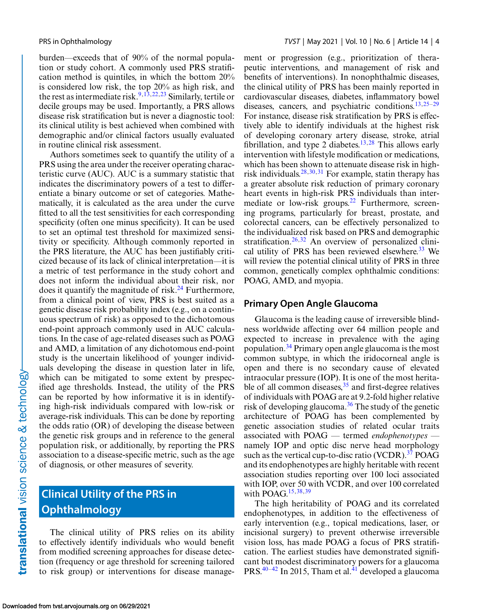burden—exceeds that of 90% of the normal population or study cohort. A commonly used PRS stratification method is quintiles, in which the bottom 20% is considered low risk, the top 20% as high risk, and the rest as intermediate risk.<sup>9,13,[22,23](#page-10-0)</sup> Similarly, tertile or decile groups may be used. Importantly, a PRS allows disease risk stratification but is never a diagnostic tool: its clinical utility is best achieved when combined with demographic and/or clinical factors usually evaluated in routine clinical risk assessment.

Authors sometimes seek to quantify the utility of a PRS using the area under the receiver operating characteristic curve (AUC). AUC is a summary statistic that indicates the discriminatory powers of a test to differentiate a binary outcome or set of categories. Mathematically, it is calculated as the area under the curve fitted to all the test sensitivities for each corresponding specificity (often one minus specificity). It can be used to set an optimal test threshold for maximized sensitivity or specificity. Although commonly reported in the PRS literature, the AUC has been justifiably criticized because of its lack of clinical interpretation—it is a metric of test performance in the study cohort and does not inform the individual about their risk, nor does it quantify the magnitude of risk.<sup>24</sup> Furthermore, from a clinical point of view, PRS is best suited as a genetic disease risk probability index (e.g., on a continuous spectrum of risk) as opposed to the dichotomous end-point approach commonly used in AUC calculations. In the case of age-related diseases such as POAG and AMD, a limitation of any dichotomous end-point study is the uncertain likelihood of younger individuals developing the disease in question later in life, which can be mitigated to some extent by prespecified age thresholds. Instead, the utility of the PRS can be reported by how informative it is in identifying high-risk individuals compared with low-risk or average-risk individuals. This can be done by reporting the odds ratio (OR) of developing the disease between the genetic risk groups and in reference to the general population risk, or additionally, by reporting the PRS association to a disease-specific metric, such as the age of diagnosis, or other measures of severity.

# **Clinical Utility of the PRS in Ophthalmology**

The clinical utility of PRS relies on its ability to effectively identify individuals who would benefit from modified screening approaches for disease detection (frequency or age threshold for screening tailored to risk group) or interventions for disease management or progression (e.g., prioritization of therapeutic interventions, and management of risk and benefits of interventions). In nonophthalmic diseases, the clinical utility of PRS has been mainly reported in cardiovascular diseases, diabetes, inflammatory bowel diseases, cancers, and psychiatric conditions. $13,25-29$  $13,25-29$ For instance, disease risk stratification by PRS is effectively able to identify individuals at the highest risk of developing coronary artery disease, stroke, atrial fibrillation, and type 2 diabetes.<sup>[13,](#page-9-0)[28](#page-10-0)</sup> This allows early intervention with lifestyle modification or medications, which has been shown to attenuate disease risk in highrisk individuals.[28,30,31](#page-10-0) For example, statin therapy has a greater absolute risk reduction of primary coronary heart events in high-risk PRS individuals than intermediate or low-risk groups.<sup>22</sup> Furthermore, screening programs, particularly for breast, prostate, and colorectal cancers, can be effectively personalized to the individualized risk based on PRS and demographic stratification.<sup>26,32</sup> An overview of personalized clini-cal utility of PRS has been reviewed elsewhere.<sup>[33](#page-10-0)</sup> We will review the potential clinical utility of PRS in three common, genetically complex ophthalmic conditions: POAG, AMD, and myopia.

#### **Primary Open Angle Glaucoma**

Glaucoma is the leading cause of irreversible blindness worldwide affecting over 64 million people and expected to increase in prevalence with the aging population.[34](#page-10-0) Primary open angle glaucoma is the most common subtype, in which the iridocorneal angle is open and there is no secondary cause of elevated intraocular pressure (IOP). It is one of the most heritable of all common diseases,  $35$  and first-degree relatives of individuals with POAG are at 9.2-fold higher relative risk of developing glaucoma.<sup>36</sup> The study of the genetic architecture of POAG has been complemented by genetic association studies of related ocular traits associated with POAG — termed *endophenotypes* namely IOP and optic disc nerve head morphology such as the vertical cup-to-disc ratio (VCDR). $37$  POAG and its endophenotypes are highly heritable with recent association studies reporting over 100 loci associated with IOP, over 50 with VCDR, and over 100 correlated with POAG.<sup>[15,](#page-9-0)[38,39](#page-10-0)</sup>

The high heritability of POAG and its correlated endophenotypes, in addition to the effectiveness of early intervention (e.g., topical medications, laser, or incisional surgery) to prevent otherwise irreversible vision loss, has made POAG a focus of PRS stratification. The earliest studies have demonstrated significant but modest discriminatory powers for a glaucoma PRS. $40-42$  In 2015, Tham et al. $41$  developed a glaucoma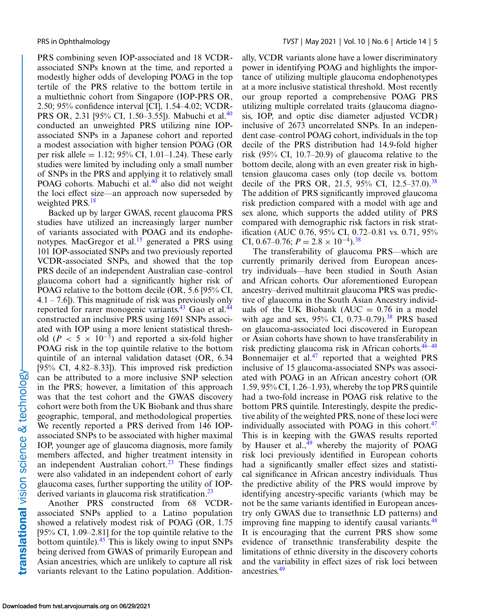PRS combining seven IOP-associated and 18 VCDRassociated SNPs known at the time, and reported a modestly higher odds of developing POAG in the top tertile of the PRS relative to the bottom tertile in a multiethnic cohort from Singapore (IOP-PRS OR, 2.50; 95% confidence interval [CI], 1.54–4.02; VCDR-PRS OR, 2.31 [95% CI, 1.50–3.55]). Mabuchi et al.<sup>[40](#page-10-0)</sup> conducted an unweighted PRS utilizing nine IOPassociated SNPs in a Japanese cohort and reported a modest association with higher tension POAG (OR per risk allele =  $1.12$ ; 95% CI, 1.01–1.24). These early studies were limited by including only a small number of SNPs in the PRS and applying it to relatively small POAG cohorts. Mabuchi et al. $40$  also did not weight the loci effect size—an approach now superseded by weighted PRS.<sup>[18](#page-9-0)</sup>

Backed up by larger GWAS, recent glaucoma PRS studies have utilized an increasingly larger number of variants associated with POAG and its endophenotypes. MacGregor et al. $^{15}$  $^{15}$  $^{15}$  generated a PRS using 101 IOP-associated SNPs and two previously reported VCDR-associated SNPs, and showed that the top PRS decile of an independent Australian case–control glaucoma cohort had a significantly higher risk of POAG relative to the bottom decile (OR, 5.6 [95% CI,  $(4.1 - 7.6)$ . This magnitude of risk was previously only reported for rarer monogenic variants. $43$  Gao et al. $44$ constructed an inclusive PRS using 1691 SNPs associated with IOP using a more lenient statistical threshold (*P* < 5 × 10<sup>-5</sup>) and reported a six-fold higher POAG risk in the top quintile relative to the bottom quintile of an internal validation dataset (OR, 6.34 [95% CI, 4.82–8.33]). This improved risk prediction can be attributed to a more inclusive SNP selection in the PRS; however, a limitation of this approach was that the test cohort and the GWAS discovery cohort were both from the UK Biobank and thus share geographic, temporal, and methodological properties. We recently reported a PRS derived from 146 IOPassociated SNPs to be associated with higher maximal IOP, younger age of glaucoma diagnosis, more family members affected, and higher treatment intensity in an independent Australian cohort.<sup>[23](#page-10-0)</sup> These findings were also validated in an independent cohort of early glaucoma cases, further supporting the utility of IOPderived variants in glaucoma risk stratification.<sup>23</sup>

Another PRS constructed from 68 VCDRassociated SNPs applied to a Latino population showed a relatively modest risk of POAG (OR, 1.75  $[95\% \text{ CI}, 1.09-2.81]$  for the top quintile relative to the bottom quintile). $45$  This is likely owing to input SNPs being derived from GWAS of primarily European and Asian ancestries, which are unlikely to capture all risk variants relevant to the Latino population. Additionally, VCDR variants alone have a lower discriminatory power in identifying POAG and highlights the importance of utilizing multiple glaucoma endophenotypes at a more inclusive statistical threshold. Most recently our group reported a comprehensive POAG PRS utilizing multiple correlated traits (glaucoma diagnosis, IOP, and optic disc diameter adjusted VCDR) inclusive of 2673 uncorrelated SNPs. In an independent case–control POAG cohort, individuals in the top decile of the PRS distribution had 14.9-fold higher risk (95% CI, 10.7–20.9) of glaucoma relative to the bottom decile, along with an even greater risk in hightension glaucoma cases only (top decile vs. bottom decile of the PRS OR, 21.5, 95% CI, 12.5–37.0).<sup>[38](#page-10-0)</sup> The addition of PRS significantly improved glaucoma risk prediction compared with a model with age and sex alone, which supports the added utility of PRS compared with demographic risk factors in risk stratification (AUC 0.76, 95% CI, 0.72–0.81 vs. 0.71, 95% CI, 0.67–0.76;  $P = 2.8 \times 10^{-4}$ .<sup>38</sup>

The transferability of glaucoma PRS—which are currently primarily derived from European ancestry individuals—have been studied in South Asian and African cohorts. Our aforementioned European ancestry–derived multitrait glaucoma PRS was predictive of glaucoma in the South Asian Ancestry individuals of the UK Biobank (AUC  $= 0.76$  in a model with age and sex,  $95\%$  CI, 0.73–0.79).<sup>38</sup> PRS based on glaucoma-associated loci discovered in European or Asian cohorts have shown to have transferability in risk predicting glaucoma risk in African cohorts. $46-48$ Bonnemaijer et al.<sup>[47](#page-11-0)</sup> reported that a weighted PRS inclusive of 15 glaucoma-associated SNPs was associated with POAG in an African ancestry cohort (OR 1.59, 95% CI, 1.26–1.93), whereby the top PRS quintile had a two-fold increase in POAG risk relative to the bottom PRS quintile. Interestingly, despite the predictive ability of the weighted PRS, none of these loci were individually associated with POAG in this cohort. $47$ This is in keeping with the GWAS results reported by Hauser et al., $49$  whereby the majority of POAG risk loci previously identified in European cohorts had a significantly smaller effect sizes and statistical significance in African ancestry individuals. Thus the predictive ability of the PRS would improve by identifying ancestry-specific variants (which may be not be the same variants identified in European ancestry only GWAS due to transethnic LD patterns) and improving fine mapping to identify causal variants. $48$ It is encouraging that the current PRS show some evidence of transethnic transferability despite the limitations of ethnic diversity in the discovery cohorts and the variability in effect sizes of risk loci between ancestries.[49](#page-11-0)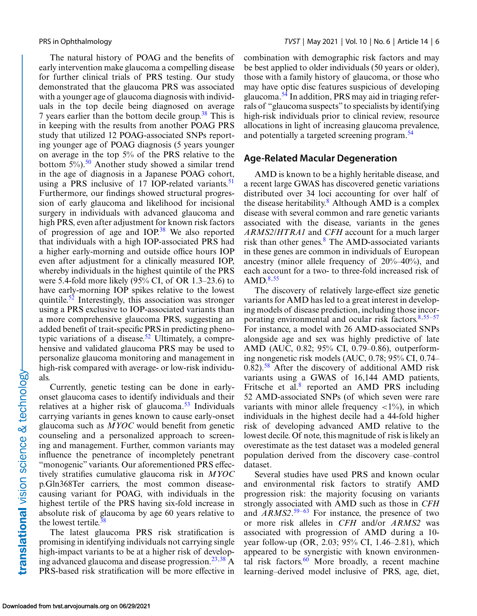The natural history of POAG and the benefits of early intervention make glaucoma a compelling disease for further clinical trials of PRS testing. Our study demonstrated that the glaucoma PRS was associated with a younger age of glaucoma diagnosis with individuals in the top decile being diagnosed on average 7 years earlier than the bottom decile group.<sup>[38](#page-10-0)</sup> This is in keeping with the results from another POAG PRS study that utilized 12 POAG-associated SNPs reporting younger age of POAG diagnosis (5 years younger on average in the top 5% of the PRS relative to the bottom 5%).<sup>50</sup> Another study showed a similar trend in the age of diagnosis in a Japanese POAG cohort, using a PRS inclusive of 17 IOP-related variants. $51$ Furthermore, our findings showed structural progression of early glaucoma and likelihood for incisional surgery in individuals with advanced glaucoma and high PRS, even after adjustment for known risk factors of progression of age and  $IOP<sup>38</sup>$  $IOP<sup>38</sup>$  $IOP<sup>38</sup>$  We also reported that individuals with a high IOP-associated PRS had a higher early-morning and outside office hours IOP even after adjustment for a clinically measured IOP, whereby individuals in the highest quintile of the PRS were 5.4-fold more likely  $(95\% \text{ CI}, \text{ of OR } 1.3-23.6)$  to have early-morning IOP spikes relative to the lowest quintile[.52](#page-11-0) Interestingly, this association was stronger using a PRS exclusive to IOP-associated variants than a more comprehensive glaucoma PRS, suggesting an added benefit of trait-specific PRS in predicting phenotypic variations of a disease.<sup>52</sup> Ultimately, a comprehensive and validated glaucoma PRS may be used to personalize glaucoma monitoring and management in high-risk compared with average- or low-risk individuals.

Currently, genetic testing can be done in earlyonset glaucoma cases to identify individuals and their relatives at a higher risk of glaucoma. $53$  Individuals carrying variants in genes known to cause early-onset glaucoma such as *MYOC* would benefit from genetic counseling and a personalized approach to screening and management. Further, common variants may influence the penetrance of incompletely penetrant "monogenic" variants. Our aforementioned PRS effectively stratifies cumulative glaucoma risk in *MYOC* p.Gln368Ter carriers, the most common diseasecausing variant for POAG, with individuals in the highest tertile of the PRS having six-fold increase in absolute risk of glaucoma by age 60 years relative to the lowest tertile.<sup>38</sup>

The latest glaucoma PRS risk stratification is promising in identifying individuals not carrying single high-impact variants to be at a higher risk of developing advanced glaucoma and disease progression.<sup>23,38</sup> A PRS-based risk stratification will be more effective in combination with demographic risk factors and may be best applied to older individuals (50 years or older), those with a family history of glaucoma, or those who may have optic disc features suspicious of developing glaucoma[.54](#page-11-0) In addition, PRS may aid in triaging referrals of "glaucoma suspects" to specialists by identifying high-risk individuals prior to clinical review, resource allocations in light of increasing glaucoma prevalence, and potentially a targeted screening program.<sup>54</sup>

#### **Age-Related Macular Degeneration**

AMD is known to be a highly heritable disease, and a recent large GWAS has discovered genetic variations distributed over 34 loci accounting for over half of the disease heritability. $8$  Although AMD is a complex disease with several common and rare genetic variants associated with the disease, variants in the genes *ARMS2/HTRA1* and *CFH* account for a much larger risk than other genes. $8$  The AMD-associated variants in these genes are common in individuals of European ancestry (minor allele frequency of 20%–40%), and each account for a two- to three-fold increased risk of  $AMD.<sup>8,55</sup>$  $AMD.<sup>8,55</sup>$  $AMD.<sup>8,55</sup>$  $AMD.<sup>8,55</sup>$ 

The discovery of relatively large-effect size genetic variants for AMD has led to a great interest in developing models of disease prediction, including those incorporating environmental and ocular risk factors. $8,55-57$  $8,55-57$ For instance, a model with 26 AMD-associated SNPs alongside age and sex was highly predictive of late AMD (AUC, 0.82; 95% CI, 0.79–0.86), outperforming nongenetic risk models (AUC, 0.78; 95% CI, 0.74– 0.82).[58](#page-11-0) After the discovery of additional AMD risk variants using a GWAS of 16,144 AMD patients, Fritsche et al. $8$  reported an AMD PRS including 52 AMD-associated SNPs (of which seven were rare variants with minor allele frequency  $\langle 1\% \rangle$ , in which individuals in the highest decile had a 44-fold higher risk of developing advanced AMD relative to the lowest decile. Of note, this magnitude of risk is likely an overestimate as the test dataset was a modeled general population derived from the discovery case–control dataset.

Several studies have used PRS and known ocular and environmental risk factors to stratify AMD progression risk: the majority focusing on variants strongly associated with AMD such as those in *CFH* and *ARMS2*. [59–63](#page-11-0) For instance, the presence of two or more risk alleles in *CFH* and/or *ARMS2* was associated with progression of AMD during a 10 year follow-up (OR, 2.03; 95% CI, 1.46–2.81), which appeared to be synergistic with known environmental risk factors. $60$  More broadly, a recent machine learning–derived model inclusive of PRS, age, diet,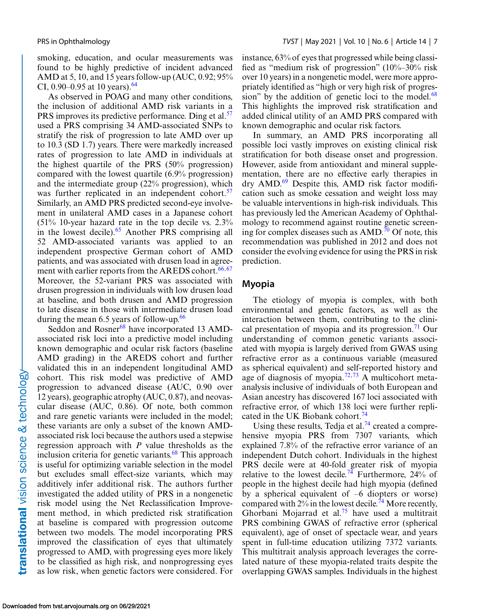smoking, education, and ocular measurements was found to be highly predictive of incident advanced AMD at 5, 10, and 15 years follow-up (AUC, 0.92; 95% CI, 0.90–0.95 at 10 years).<sup>[64](#page-11-0)</sup>

As observed in POAG and many other conditions, the inclusion of additional AMD risk variants in a PRS improves its predictive performance. Ding et al.<sup>57</sup> used a PRS comprising 34 AMD-associated SNPs to stratify the risk of progression to late AMD over up to 10.3 (SD 1.7) years. There were markedly increased rates of progression to late AMD in individuals at the highest quartile of the PRS (50% progression) compared with the lowest quartile (6.9% progression) and the intermediate group (22% progression), which was further replicated in an independent cohort.<sup>57</sup> Similarly, an AMD PRS predicted second-eye involvement in unilateral AMD cases in a Japanese cohort (51% 10-year hazard rate in the top decile vs. 2.3% in the lowest decile). $65$  Another PRS comprising all 52 AMD-associated variants was applied to an independent prospective German cohort of AMD patients, and was associated with drusen load in agreement with earlier reports from the AREDS cohort. $66,67$ Moreover, the 52-variant PRS was associated with drusen progression in individuals with low drusen load at baseline, and both drusen and AMD progression to late disease in those with intermediate drusen load during the mean  $6.5$  years of follow-up.<sup>[66](#page-11-0)</sup>

Seddon and Rosner<sup>[68](#page-11-0)</sup> have incorporated 13 AMDassociated risk loci into a predictive model including known demographic and ocular risk factors (baseline AMD grading) in the AREDS cohort and further validated this in an independent longitudinal AMD cohort. This risk model was predictive of AMD progression to advanced disease (AUC, 0.90 over 12 years), geographic atrophy (AUC, 0.87), and neovascular disease (AUC, 0.86). Of note, both common and rare genetic variants were included in the model; these variants are only a subset of the known AMDassociated risk loci because the authors used a stepwise regression approach with *P* value thresholds as the inclusion criteria for genetic variants. $68$  This approach is useful for optimizing variable selection in the model but excludes small effect-size variants, which may additively infer additional risk. The authors further investigated the added utility of PRS in a nongenetic risk model using the Net Reclassification Improvement method, in which predicted risk stratification at baseline is compared with progression outcome between two models. The model incorporating PRS improved the classification of eyes that ultimately progressed to AMD, with progressing eyes more likely to be classified as high risk, and nonprogressing eyes as low risk, when genetic factors were considered. For instance, 63% of eyes that progressed while being classified as "medium risk of progression" (10%–30% risk over 10 years) in a nongenetic model, were more appropriately identified as "high or very high risk of progression" by the addition of genetic loci to the model. $68$ This highlights the improved risk stratification and added clinical utility of an AMD PRS compared with known demographic and ocular risk factors.

In summary, an AMD PRS incorporating all possible loci vastly improves on existing clinical risk stratification for both disease onset and progression. However, aside from antioxidant and mineral supplementation, there are no effective early therapies in dry AMD.[69](#page-12-0) Despite this, AMD risk factor modification such as smoke cessation and weight loss may be valuable interventions in high-risk individuals. This has previously led the American Academy of Ophthalmology to recommend against routine genetic screening for complex diseases such as  $\text{AMD}^{70}$  $\text{AMD}^{70}$  $\text{AMD}^{70}$  Of note, this recommendation was published in 2012 and does not consider the evolving evidence for using the PRS in risk prediction.

#### **Myopia**

The etiology of myopia is complex, with both environmental and genetic factors, as well as the interaction between them, contributing to the clini-cal presentation of myopia and its progression.<sup>[71](#page-12-0)</sup> Our understanding of common genetic variants associated with myopia is largely derived from GWAS using refractive error as a continuous variable (measured as spherical equivalent) and self-reported history and age of diagnosis of myopia.<sup>72,73</sup> A multicohort metaanalysis inclusive of individuals of both European and Asian ancestry has discovered 167 loci associated with refractive error, of which 138 loci were further repli-cated in the UK Biobank cohort.<sup>[74](#page-12-0)</sup>

Using these results, Tedja et al.<sup>74</sup> created a comprehensive myopia PRS from 7307 variants, which explained 7.8% of the refractive error variance of an independent Dutch cohort. Individuals in the highest PRS decile were at 40-fold greater risk of myopia relative to the lowest decile.<sup>[74](#page-12-0)</sup> Furthermore,  $24\%$  of people in the highest decile had high myopia (defined by a spherical equivalent of –6 diopters or worse) compared with  $2\%$  in the lowest decile.<sup>[74](#page-12-0)</sup> More recently, Ghorbani Mojarrad et al.[75](#page-12-0) have used a multitrait PRS combining GWAS of refractive error (spherical equivalent), age of onset of spectacle wear, and years spent in full-time education utilizing 7372 variants. This multitrait analysis approach leverages the correlated nature of these myopia-related traits despite the overlapping GWAS samples. Individuals in the highest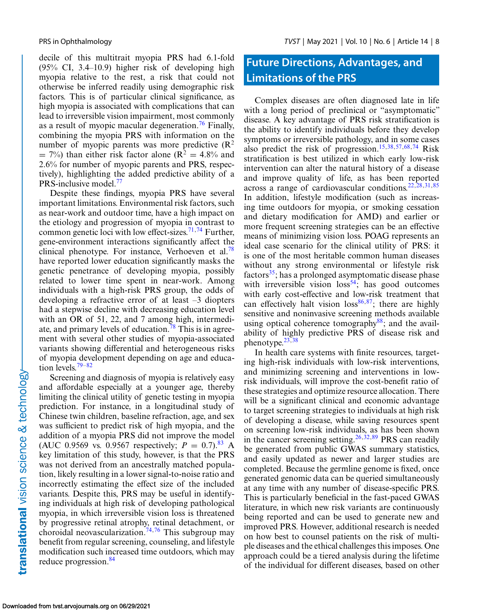decile of this multitrait myopia PRS had 6.1-fold (95% CI, 3.4–10.9) higher risk of developing high myopia relative to the rest, a risk that could not otherwise be inferred readily using demographic risk factors. This is of particular clinical significance, as high myopia is associated with complications that can lead to irreversible vision impairment, most commonly as a result of myopic macular degeneration.<sup>[76](#page-12-0)</sup> Finally, combining the myopia PRS with information on the number of myopic parents was more predictive  $(R^2)$  $= 7\%$ ) than either risk factor alone (R<sup>2</sup> = 4.8% and 2.6% for number of myopic parents and PRS, respectively), highlighting the added predictive ability of a PRS-inclusive model.<sup>[77](#page-12-0)</sup>

Despite these findings, myopia PRS have several important limitations. Environmental risk factors, such as near-work and outdoor time, have a high impact on the etiology and progression of myopia in contrast to common genetic loci with low effect-sizes.<sup>[71,74](#page-12-0)</sup> Further, gene-environment interactions significantly affect the clinical phenotype. For instance, Verhoeven et al.<sup>78</sup> have reported lower education significantly masks the genetic penetrance of developing myopia, possibly related to lower time spent in near-work. Among individuals with a high-risk PRS group, the odds of developing a refractive error of at least –3 diopters had a stepwise decline with decreasing education level with an OR of 51, 22, and 7 among high, intermediate, and primary levels of education.<sup>78</sup> This is in agreement with several other studies of myopia-associated variants showing differential and heterogeneous risks of myopia development depending on age and education levels. $79-82$ 

Screening and diagnosis of myopia is relatively easy and affordable especially at a younger age, thereby limiting the clinical utility of genetic testing in myopia prediction. For instance, in a longitudinal study of Chinese twin children, baseline refraction, age, and sex was sufficient to predict risk of high myopia, and the addition of a myopia PRS did not improve the model (AUC 0.9569 vs. 0.9567 respectively;  $P = 0.7$ ).<sup>[83](#page-12-0)</sup> A key limitation of this study, however, is that the PRS was not derived from an ancestrally matched population, likely resulting in a lower signal-to-noise ratio and incorrectly estimating the effect size of the included variants. Despite this, PRS may be useful in identifying individuals at high risk of developing pathological myopia, in which irreversible vision loss is threatened by progressive retinal atrophy, retinal detachment, or choroidal neovascularization.<sup>[74,76](#page-12-0)</sup> This subgroup may benefit from regular screening, counseling, and lifestyle modification such increased time outdoors, which may reduce progression.<sup>84</sup>

## **Future Directions, Advantages, and Limitations of the PRS**

Complex diseases are often diagnosed late in life with a long period of preclinical or "asymptomatic" disease. A key advantage of PRS risk stratification is the ability to identify individuals before they develop symptoms or irreversible pathology, and in some cases also predict the risk of progression.<sup>15,[38,](#page-10-0)[57,68,](#page-11-0)[74](#page-12-0)</sup> Risk stratification is best utilized in which early low-risk intervention can alter the natural history of a disease and improve quality of life, as has been reported across a range of cardiovascular conditions. $22,28,31,85$  $22,28,31,85$ In addition, lifestyle modification (such as increasing time outdoors for myopia, or smoking cessation and dietary modification for AMD) and earlier or more frequent screening strategies can be an effective means of minimizing vision loss. POAG represents an ideal case scenario for the clinical utility of PRS: it is one of the most heritable common human diseases without any strong environmental or lifestyle risk factors $35$ ; has a prolonged asymptomatic disease phase with irreversible vision  $loss^{54}$ ; has good outcomes with early cost-effective and low-risk treatment that can effectively halt vision  $loss<sup>86,87</sup>$ ; there are highly sensitive and noninvasive screening methods available using optical coherence tomography $88$ ; and the availability of highly predictive PRS of disease risk and phenotype. $23,38$ 

In health care systems with finite resources, targeting high-risk individuals with low-risk interventions, and minimizing screening and interventions in lowrisk individuals, will improve the cost-benefit ratio of these strategies and optimize resource allocation. There will be a significant clinical and economic advantage to target screening strategies to individuals at high risk of developing a disease, while saving resources spent on screening low-risk individuals, as has been shown in the cancer screening setting.<sup>[26,32,](#page-10-0)[89](#page-12-0)</sup> PRS can readily be generated from public GWAS summary statistics, and easily updated as newer and larger studies are completed. Because the germline genome is fixed, once generated genomic data can be queried simultaneously at any time with any number of disease-specific PRS. This is particularly beneficial in the fast-paced GWAS literature, in which new risk variants are continuously being reported and can be used to generate new and improved PRS. However, additional research is needed on how best to counsel patients on the risk of multiple diseases and the ethical challenges this imposes. One approach could be a tiered analysis during the lifetime of the individual for different diseases, based on other

translational vision science & technology-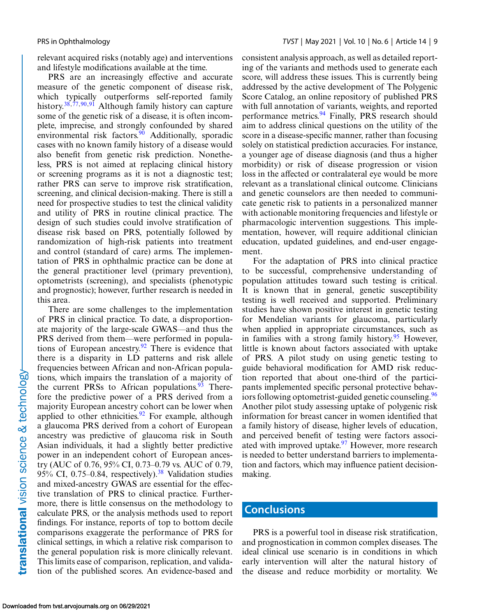relevant acquired risks (notably age) and interventions and lifestyle modifications available at the time.

PRS are an increasingly effective and accurate measure of the genetic component of disease risk, which typically outperforms self-reported family history.<sup>38,[77,90,91](#page-12-0)</sup> Although family history can capture some of the genetic risk of a disease, it is often incomplete, imprecise, and strongly confounded by shared environmental risk factors.<sup>[90](#page-12-0)</sup> Additionally, sporadic cases with no known family history of a disease would also benefit from genetic risk prediction. Nonetheless, PRS is not aimed at replacing clinical history or screening programs as it is not a diagnostic test; rather PRS can serve to improve risk stratification, screening, and clinical decision-making. There is still a need for prospective studies to test the clinical validity and utility of PRS in routine clinical practice. The design of such studies could involve stratification of disease risk based on PRS, potentially followed by randomization of high-risk patients into treatment and control (standard of care) arms. The implementation of PRS in ophthalmic practice can be done at the general practitioner level (primary prevention), optometrists (screening), and specialists (phenotypic and prognostic); however, further research is needed in this area.

There are some challenges to the implementation of PRS in clinical practice. To date, a disproportionate majority of the large-scale GWAS—and thus the PRS derived from them—were performed in populations of European ancestry.<sup>92</sup> There is evidence that there is a disparity in LD patterns and risk allele frequencies between African and non-African populations, which impairs the translation of a majority of the current PRSs to African populations. <sup>[93](#page-12-0)</sup> Therefore the predictive power of a PRS derived from a majority European ancestry cohort can be lower when applied to other ethnicities.<sup>[92](#page-12-0)</sup> For example, although a glaucoma PRS derived from a cohort of European ancestry was predictive of glaucoma risk in South Asian individuals, it had a slightly better predictive power in an independent cohort of European ancestry (AUC of 0.76, 95% CI, 0.73–0.79 vs. AUC of 0.79, 95% CI, 0.75–0.84, respectively).<sup>38</sup> Validation studies and mixed-ancestry GWAS are essential for the effective translation of PRS to clinical practice. Furthermore, there is little consensus on the methodology to calculate PRS, or the analysis methods used to report findings. For instance, reports of top to bottom decile comparisons exaggerate the performance of PRS for clinical settings, in which a relative risk comparison to the general population risk is more clinically relevant. This limits ease of comparison, replication, and validation of the published scores. An evidence-based and

consistent analysis approach, as well as detailed reporting of the variants and methods used to generate each score, will address these issues. This is currently being addressed by the active development of The Polygenic Score Catalog, an online repository of published PRS with full annotation of variants, weights, and reported performance metrics.<sup>94</sup> Finally, PRS research should aim to address clinical questions on the utility of the score in a disease-specific manner, rather than focusing solely on statistical prediction accuracies. For instance, a younger age of disease diagnosis (and thus a higher morbidity) or risk of disease progression or vision loss in the affected or contralateral eye would be more relevant as a translational clinical outcome. Clinicians and genetic counselors are then needed to communicate genetic risk to patients in a personalized manner with actionable monitoring frequencies and lifestyle or pharmacologic intervention suggestions. This implementation, however, will require additional clinician education, updated guidelines, and end-user engagement.

For the adaptation of PRS into clinical practice to be successful, comprehensive understanding of population attitudes toward such testing is critical. It is known that in general, genetic susceptibility testing is well received and supported. Preliminary studies have shown positive interest in genetic testing for Mendelian variants for glaucoma, particularly when applied in appropriate circumstances, such as in families with a strong family history.<sup>[95](#page-13-0)</sup> However, little is known about factors associated with uptake of PRS. A pilot study on using genetic testing to guide behavioral modification for AMD risk reduction reported that about one-third of the participants implemented specific personal protective behaviors following optometrist-guided genetic counseling.<sup>96</sup> Another pilot study assessing uptake of polygenic risk information for breast cancer in women identified that a family history of disease, higher levels of education, and perceived benefit of testing were factors associ-ated with improved uptake.<sup>[97](#page-13-0)</sup> However, more research is needed to better understand barriers to implementation and factors, which may influence patient decisionmaking.

#### **Conclusions**

PRS is a powerful tool in disease risk stratification, and prognostication in common complex diseases. The ideal clinical use scenario is in conditions in which early intervention will alter the natural history of the disease and reduce morbidity or mortality. We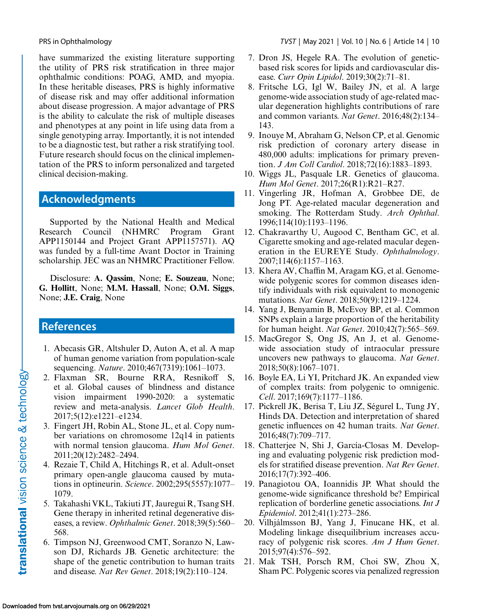<span id="page-9-0"></span>have summarized the existing literature supporting the utility of PRS risk stratification in three major ophthalmic conditions: POAG, AMD, and myopia. In these heritable diseases, PRS is highly informative of disease risk and may offer additional information about disease progression. A major advantage of PRS is the ability to calculate the risk of multiple diseases and phenotypes at any point in life using data from a single genotyping array. Importantly, it is not intended to be a diagnostic test, but rather a risk stratifying tool. Future research should focus on the clinical implementation of the PRS to inform personalized and targeted clinical decision-making.

### **Acknowledgments**

Supported by the National Health and Medical Research Council (NHMRC Program Grant APP1150144 and Project Grant APP1157571). AQ was funded by a full-time Avant Doctor in Training scholarship. JEC was an NHMRC Practitioner Fellow.

Disclosure: **A. Qassim**, None; **E. Souzeau**, None; **G. Hollitt**, None; **M.M. Hassall**, None; **O.M. Siggs**, None; **J.E. Craig**, None

#### **References**

- 1. Abecasis GR, Altshuler D, Auton A, et al. A map of human genome variation from population-scale sequencing. *Nature*. 2010;467(7319):1061–1073.
- 2. Flaxman SR, Bourne RRA, Resnikoff S, et al. Global causes of blindness and distance vision impairment 1990-2020: a systematic review and meta-analysis. *Lancet Glob Health*. 2017;5(12):e1221–e1234.
- 3. Fingert JH, Robin AL, Stone JL, et al. Copy number variations on chromosome 12q14 in patients with normal tension glaucoma. *Hum Mol Genet*. 2011;20(12):2482–2494.
- 4. Rezaie T, Child A, Hitchings R, et al. Adult-onset primary open-angle glaucoma caused by mutations in optineurin. *Science*. 2002;295(5557):1077– 1079.
- 5. Takahashi VKL, Takiuti JT, Jauregui R, Tsang SH. Gene therapy in inherited retinal degenerative diseases, a review. *Ophthalmic Genet*. 2018;39(5):560– 568.
- 6. Timpson NJ, Greenwood CMT, Soranzo N, Lawson DJ, Richards JB. Genetic architecture: the shape of the genetic contribution to human traits and disease. *Nat Rev Genet*. 2018;19(2):110–124.
- 7. Dron JS, Hegele RA. The evolution of geneticbased risk scores for lipids and cardiovascular disease. *Curr Opin Lipidol*. 2019;30(2):71–81.
- 8. Fritsche LG, Igl W, Bailey JN, et al. A large genome-wide association study of age-related macular degeneration highlights contributions of rare and common variants. *Nat Genet*. 2016;48(2):134– 143.
- 9. Inouye M, Abraham G, Nelson CP, et al. Genomic risk prediction of coronary artery disease in 480,000 adults: implications for primary prevention. *J Am Coll Cardiol*. 2018;72(16):1883–1893.
- 10. Wiggs JL, Pasquale LR. Genetics of glaucoma. *Hum Mol Genet*. 2017;26(R1):R21–R27.
- 11. Vingerling JR, Hofman A, Grobbee DE, de Jong PT. Age-related macular degeneration and smoking. The Rotterdam Study. *Arch Ophthal*. 1996;114(10):1193–1196.
- 12. Chakravarthy U, Augood C, Bentham GC, et al. Cigarette smoking and age-related macular degeneration in the EUREYE Study. *Ophthalmology*. 2007;114(6):1157–1163.
- 13. Khera AV, Chaffin M, Aragam KG, et al. Genomewide polygenic scores for common diseases identify individuals with risk equivalent to monogenic mutations. *Nat Genet*. 2018;50(9):1219–1224.
- 14. Yang J, Benyamin B, McEvoy BP, et al. Common SNPs explain a large proportion of the heritability for human height. *Nat Genet*. 2010;42(7):565–569.
- 15. MacGregor S, Ong JS, An J, et al. Genomewide association study of intraocular pressure uncovers new pathways to glaucoma. *Nat Genet*. 2018;50(8):1067–1071.
- 16. Boyle EA, Li YI, Pritchard JK. An expanded view of complex traits: from polygenic to omnigenic. *Cell*. 2017;169(7):1177–1186.
- 17. Pickrell JK, Berisa T, Liu JZ, Ségurel L, Tung JY, Hinds DA. Detection and interpretation of shared genetic influences on 42 human traits. *Nat Genet*. 2016;48(7):709–717.
- 18. Chatterjee N, Shi J, García-Closas M. Developing and evaluating polygenic risk prediction models for stratified disease prevention. *Nat Rev Genet*. 2016;17(7):392–406.
- 19. Panagiotou OA, Ioannidis JP. What should the genome-wide significance threshold be? Empirical replication of borderline genetic associations. *Int J Epidemiol*. 2012;41(1):273–286.
- 20. Vilhjálmsson BJ, Yang J, Finucane HK, et al. Modeling linkage disequilibrium increases accuracy of polygenic risk scores. *Am J Hum Genet*. 2015;97(4):576–592.
- 21. Mak TSH, Porsch RM, Choi SW, Zhou X, Sham PC. Polygenic scores via penalized regression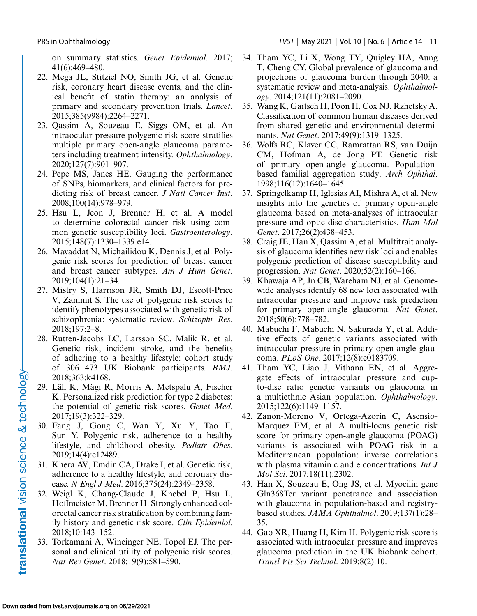<span id="page-10-0"></span>on summary statistics. *Genet Epidemiol*. 2017; 41(6):469–480.

- 22. Mega JL, Stitziel NO, Smith JG, et al. Genetic risk, coronary heart disease events, and the clinical benefit of statin therapy: an analysis of primary and secondary prevention trials. *Lancet*. 2015;385(9984):2264–2271.
- 23. Qassim A, Souzeau E, Siggs OM, et al. An intraocular pressure polygenic risk score stratifies multiple primary open-angle glaucoma parameters including treatment intensity. *Ophthalmology*. 2020;127(7):901–907.
- 24. Pepe MS, Janes HE. Gauging the performance of SNPs, biomarkers, and clinical factors for predicting risk of breast cancer. *J Natl Cancer Inst*. 2008;100(14):978–979.
- 25. Hsu L, Jeon J, Brenner H, et al. A model to determine colorectal cancer risk using common genetic susceptibility loci. *Gastroenterology*. 2015;148(7):1330–1339.e14.
- 26. Mavaddat N, Michailidou K, Dennis J, et al. Polygenic risk scores for prediction of breast cancer and breast cancer subtypes. *Am J Hum Genet*. 2019;104(1):21–34.
- 27. Mistry S, Harrison JR, Smith DJ, Escott-Price V, Zammit S. The use of polygenic risk scores to identify phenotypes associated with genetic risk of schizophrenia: systematic review. *Schizophr Res*. 2018;197:2–8.
- 28. Rutten-Jacobs LC, Larsson SC, Malik R, et al. Genetic risk, incident stroke, and the benefits of adhering to a healthy lifestyle: cohort study of 306 473 UK Biobank participants. *BMJ*. 2018;363:k4168.
- 29. Läll K, Mägi R, Morris A, Metspalu A, Fischer K. Personalized risk prediction for type 2 diabetes: the potential of genetic risk scores. *Genet Med*. 2017;19(3):322–329.
- 30. Fang J, Gong C, Wan Y, Xu Y, Tao F, Sun Y. Polygenic risk, adherence to a healthy lifestyle, and childhood obesity. *Pediatr Obes*. 2019;14(4):e12489.
- 31. Khera AV, Emdin CA, Drake I, et al. Genetic risk, adherence to a healthy lifestyle, and coronary disease. *N Engl J Med*. 2016;375(24):2349–2358.
- 32. Weigl K, Chang-Claude J, Knebel P, Hsu L, Hoffmeister M, Brenner H. Strongly enhanced colorectal cancer risk stratification by combining family history and genetic risk score. *Clin Epidemiol*. 2018;10:143–152.
- 33. Torkamani A, Wineinger NE, Topol EJ. The personal and clinical utility of polygenic risk scores. *Nat Rev Genet*. 2018;19(9):581–590.
- 34. Tham YC, Li X, Wong TY, Quigley HA, Aung T, Cheng CY. Global prevalence of glaucoma and projections of glaucoma burden through 2040: a systematic review and meta-analysis. *Ophthalmology*. 2014;121(11):2081–2090.
- 35. Wang K, Gaitsch H, Poon H, Cox NJ, Rzhetsky A. Classification of common human diseases derived from shared genetic and environmental determinants. *Nat Genet*. 2017;49(9):1319–1325.
- 36. Wolfs RC, Klaver CC, Ramrattan RS, van Duijn CM, Hofman A, de Jong PT. Genetic risk of primary open-angle glaucoma. Populationbased familial aggregation study. *Arch Ophthal*. 1998;116(12):1640–1645.
- 37. Springelkamp H, Iglesias AI, Mishra A, et al. New insights into the genetics of primary open-angle glaucoma based on meta-analyses of intraocular pressure and optic disc characteristics. *Hum Mol Genet*. 2017;26(2):438–453.
- 38. Craig JE, Han X, Qassim A, et al. Multitrait analysis of glaucoma identifies new risk loci and enables polygenic prediction of disease susceptibility and progression. *Nat Genet*. 2020;52(2):160–166.
- 39. Khawaja AP, Jn CB, Wareham NJ, et al. Genomewide analyses identify 68 new loci associated with intraocular pressure and improve risk prediction for primary open-angle glaucoma. *Nat Genet*. 2018;50(6):778–782.
- 40. Mabuchi F, Mabuchi N, Sakurada Y, et al. Additive effects of genetic variants associated with intraocular pressure in primary open-angle glaucoma. *PLoS One*. 2017;12(8):e0183709.
- 41. Tham YC, Liao J, Vithana EN, et al. Aggregate effects of intraocular pressure and cupto-disc ratio genetic variants on glaucoma in a multiethnic Asian population. *Ophthalmology*. 2015;122(6):1149–1157.
- 42. Zanon-Moreno V, Ortega-Azorin C, Asensio-Marquez EM, et al. A multi-locus genetic risk score for primary open-angle glaucoma (POAG) variants is associated with POAG risk in a Mediterranean population: inverse correlations with plasma vitamin c and e concentrations. *Int J Mol Sci*. 2017;18(11):2302.
- 43. Han X, Souzeau E, Ong JS, et al. Myocilin gene Gln368Ter variant penetrance and association with glaucoma in population-based and registrybased studies. *JAMA Ophthalmol*. 2019;137(1):28– 35.
- 44. Gao XR, Huang H, Kim H. Polygenic risk score is associated with intraocular pressure and improves glaucoma prediction in the UK biobank cohort. *Transl Vis Sci Technol*. 2019;8(2):10.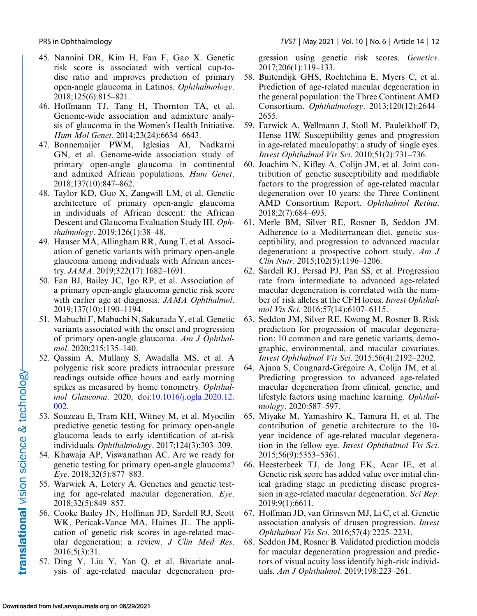<span id="page-11-0"></span>

- 45. Nannini DR, Kim H, Fan F, Gao X. Genetic risk score is associated with vertical cup-todisc ratio and improves prediction of primary open-angle glaucoma in Latinos. *Ophthalmology*. 2018;125(6):815–821.
- 46. Hoffmann TJ, Tang H, Thornton TA, et al. Genome-wide association and admixture analysis of glaucoma in the Women's Health Initiative. *Hum Mol Genet*. 2014;23(24):6634–6643.
- 47. Bonnemaijer PWM, Iglesias AI, Nadkarni GN, et al. Genome-wide association study of primary open-angle glaucoma in continental and admixed African populations. *Hum Genet*. 2018;137(10):847–862.
- 48. Taylor KD, Guo X, Zangwill LM, et al. Genetic architecture of primary open-angle glaucoma in individuals of African descent: the African Descent and Glaucoma Evaluation Study III. *Ophthalmology*. 2019;126(1):38–48.
- 49. Hauser MA, Allingham RR, Aung T, et al. Association of genetic variants with primary open-angle glaucoma among individuals with African ancestry. *JAMA*. 2019;322(17):1682–1691.
- 50. Fan BJ, Bailey JC, Igo RP, et al. Association of a primary open-angle glaucoma genetic risk score with earlier age at diagnosis. *JAMA Ophthalmol*. 2019;137(10):1190–1194.
- 51. Mabuchi F, Mabuchi N, Sakurada Y, et al. Genetic variants associated with the onset and progression of primary open-angle glaucoma. *Am J Ophthalmol*. 2020;215:135–140.
- 52. Qassim A, Mullany S, Awadalla MS, et al. A polygenic risk score predicts intraocular pressure readings outside office hours and early morning spikes as measured by home tonometry. *Ophthalmol Glaucoma*[. 2020, doi:10.1016/j.ogla.2020.12.](http://doi.org/10.1016/j.ogla.2020.12.002) 002.
- 53. Souzeau E, Tram KH, Witney M, et al. Myocilin predictive genetic testing for primary open-angle glaucoma leads to early identification of at-risk individuals. *Ophthalmology*. 2017;124(3):303–309.
- 54. Khawaja AP, Viswanathan AC. Are we ready for genetic testing for primary open-angle glaucoma? *Eye*. 2018;32(5):877–883.
- 55. Warwick A, Lotery A. Genetics and genetic testing for age-related macular degeneration. *Eye*. 2018;32(5):849–857.
- 56. Cooke Bailey JN, Hoffman JD, Sardell RJ, Scott WK, Pericak-Vance MA, Haines JL. The application of genetic risk scores in age-related macular degeneration: a review. *J Clin Med Res*. 2016;5(3):31.
- 57. Ding Y, Liu Y, Yan Q, et al. Bivariate analysis of age-related macular degeneration pro-

gression using genetic risk scores. *Genetics*. 2017;206(1):119–133.

- 58. Buitendijk GHS, Rochtchina E, Myers C, et al. Prediction of age-related macular degeneration in the general population: the Three Continent AMD Consortium. *Ophthalmology*. 2013;120(12):2644– 2655.
- 59. Farwick A, Wellmann J, Stoll M, Pauleikhoff D, Hense HW. Susceptibility genes and progression in age-related maculopathy: a study of single eyes. *Invest Ophthalmol Vis Sci*. 2010;51(2):731–736.
- 60. Joachim N, Kifley A, Colijn JM, et al. Joint contribution of genetic susceptibility and modifiable factors to the progression of age-related macular degeneration over 10 years: the Three Continent AMD Consortium Report. *Ophthalmol Retina*. 2018;2(7):684–693.
- 61. Merle BM, Silver RE, Rosner B, Seddon JM. Adherence to a Mediterranean diet, genetic susceptibility, and progression to advanced macular degeneration: a prospective cohort study. *Am J Clin Nutr*. 2015;102(5):1196–1206.
- 62. Sardell RJ, Persad PJ, Pan SS, et al. Progression rate from intermediate to advanced age-related macular degeneration is correlated with the number of risk alleles at the CFH locus. *Invest Ophthalmol Vis Sci*. 2016;57(14):6107–6115.
- 63. Seddon JM, Silver RE, Kwong M, Rosner B. Risk prediction for progression of macular degeneration: 10 common and rare genetic variants, demographic, environmental, and macular covariates. *Invest Ophthalmol Vis Sci*. 2015;56(4):2192–2202.
- 64. Ajana S, Cougnard-Grégoire A, Colijn JM, et al. Predicting progression to advanced age-related macular degeneration from clinical, genetic, and lifestyle factors using machine learning. *Ophthalmology*. 2020:587–597.
- 65. Miyake M, Yamashiro K, Tamura H, et al. The contribution of genetic architecture to the 10 year incidence of age-related macular degeneration in the fellow eye. *Invest Ophthalmol Vis Sci*. 2015;56(9):5353–5361.
- 66. Heesterbeek TJ, de Jong EK, Acar IE, et al. Genetic risk score has added value over initial clinical grading stage in predicting disease progression in age-related macular degeneration. *Sci Rep*. 2019;9(1):6611.
- 67. Hoffman JD, van Grinsven MJ, Li C, et al. Genetic association analysis of drusen progression. *Invest Ophthalmol Vis Sci*. 2016;57(4):2225–2231.
- 68. Seddon JM, Rosner B. Validated prediction models for macular degeneration progression and predictors of visual acuity loss identify high-risk individuals. *Am J Ophthalmol*. 2019;198:223–261.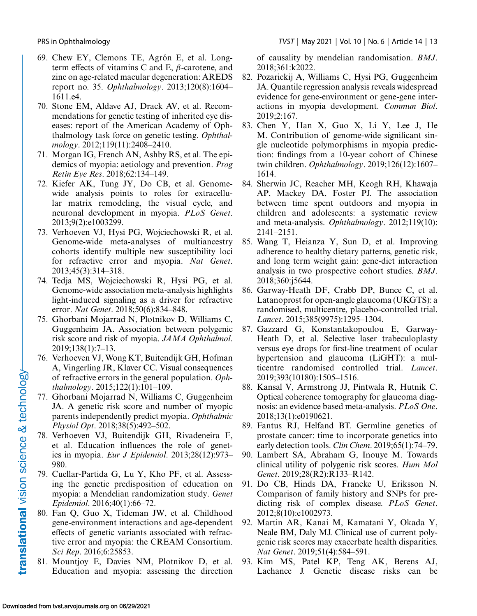<span id="page-12-0"></span>

- 69. Chew EY, Clemons TE, Agrón E, et al. Longterm effects of vitamins C and E,  $\beta$ -carotene, and zinc on age-related macular degeneration: AREDS report no. 35. *Ophthalmology*. 2013;120(8):1604– 1611.e4.
- 70. Stone EM, Aldave AJ, Drack AV, et al. Recommendations for genetic testing of inherited eye diseases: report of the American Academy of Ophthalmology task force on genetic testing. *Ophthalmology*. 2012;119(11):2408–2410.
- 71. Morgan IG, French AN, Ashby RS, et al. The epidemics of myopia: aetiology and prevention. *Prog Retin Eye Res*. 2018;62:134–149.
- 72. Kiefer AK, Tung JY, Do CB, et al. Genomewide analysis points to roles for extracellular matrix remodeling, the visual cycle, and neuronal development in myopia. *PLoS Genet*. 2013;9(2):e1003299.
- 73. Verhoeven VJ, Hysi PG, Wojciechowski R, et al. Genome-wide meta-analyses of multiancestry cohorts identify multiple new susceptibility loci for refractive error and myopia. *Nat Genet*. 2013;45(3):314–318.
- 74. Tedja MS, Wojciechowski R, Hysi PG, et al. Genome-wide association meta-analysis highlights light-induced signaling as a driver for refractive error. *Nat Genet*. 2018;50(6):834–848.
- 75. Ghorbani Mojarrad N, Plotnikov D, Williams C, Guggenheim JA. Association between polygenic risk score and risk of myopia. *JAMA Ophthalmol*. 2019;138(1):7–13.
- 76. Verhoeven VJ, Wong KT, Buitendijk GH, Hofman A, Vingerling JR, Klaver CC. Visual consequences of refractive errors in the general population. *Ophthalmology*. 2015;122(1):101–109.
- 77. Ghorbani Mojarrad N, Williams C, Guggenheim JA. A genetic risk score and number of myopic parents independently predict myopia. *Ophthalmic Physiol Opt*. 2018;38(5):492–502.
- 78. Verhoeven VJ, Buitendijk GH, Rivadeneira F, et al. Education influences the role of genetics in myopia. *Eur J Epidemiol*. 2013;28(12):973– 980.
- 79. Cuellar-Partida G, Lu Y, Kho PF, et al. Assessing the genetic predisposition of education on myopia: a Mendelian randomization study. *Genet Epidemiol*. 2016;40(1):66–72.
- 80. Fan Q, Guo X, Tideman JW, et al. Childhood gene-environment interactions and age-dependent effects of genetic variants associated with refractive error and myopia: the CREAM Consortium. *Sci Rep*. 2016;6:25853.
- 81. Mountjoy E, Davies NM, Plotnikov D, et al. Education and myopia: assessing the direction

of causality by mendelian randomisation. *BMJ*. 2018;361:k2022.

- 82. Pozarickij A, Williams C, Hysi PG, Guggenheim JA. Quantile regression analysis reveals widespread evidence for gene-environment or gene-gene interactions in myopia development. *Commun Biol*. 2019;2:167.
- 83. Chen Y, Han X, Guo X, Li Y, Lee J, He M. Contribution of genome-wide significant single nucleotide polymorphisms in myopia prediction: findings from a 10-year cohort of Chinese twin children. *Ophthalmology*. 2019;126(12):1607– 1614.
- 84. Sherwin JC, Reacher MH, Keogh RH, Khawaja AP, Mackey DA, Foster PJ. The association between time spent outdoors and myopia in children and adolescents: a systematic review and meta-analysis. *Ophthalmology*. 2012;119(10): 2141–2151.
- 85. Wang T, Heianza Y, Sun D, et al. Improving adherence to healthy dietary patterns, genetic risk, and long term weight gain: gene-diet interaction analysis in two prospective cohort studies. *BMJ*. 2018;360:j5644.
- 86. Garway-Heath DF, Crabb DP, Bunce C, et al. Latanoprost for open-angle glaucoma (UKGTS): a randomised, multicentre, placebo-controlled trial. *Lancet*. 2015;385(9975):1295–1304.
- 87. Gazzard G, Konstantakopoulou E, Garway-Heath D, et al. Selective laser trabeculoplasty versus eye drops for first-line treatment of ocular hypertension and glaucoma (LiGHT): a multicentre randomised controlled trial. *Lancet*. 2019;393(10180):1505–1516.
- 88. Kansal V, Armstrong JJ, Pintwala R, Hutnik C. Optical coherence tomography for glaucoma diagnosis: an evidence based meta-analysis. *PLoS One*. 2018;13(1):e0190621.
- 89. Fantus RJ, Helfand BT. Germline genetics of prostate cancer: time to incorporate genetics into early detection tools. *Clin Chem*. 2019;65(1):74–79.
- 90. Lambert SA, Abraham G, Inouye M. Towards clinical utility of polygenic risk scores. *Hum Mol Genet*. 2019;28(R2):R133–R142.
- 91. Do CB, Hinds DA, Francke U, Eriksson N. Comparison of family history and SNPs for predicting risk of complex disease. *PLoS Genet*. 2012;8(10):e1002973.
- 92. Martin AR, Kanai M, Kamatani Y, Okada Y, Neale BM, Daly MJ. Clinical use of current polygenic risk scores may exacerbate health disparities. *Nat Genet*. 2019;51(4):584–591.
- 93. Kim MS, Patel KP, Teng AK, Berens AJ, Lachance J. Genetic disease risks can be